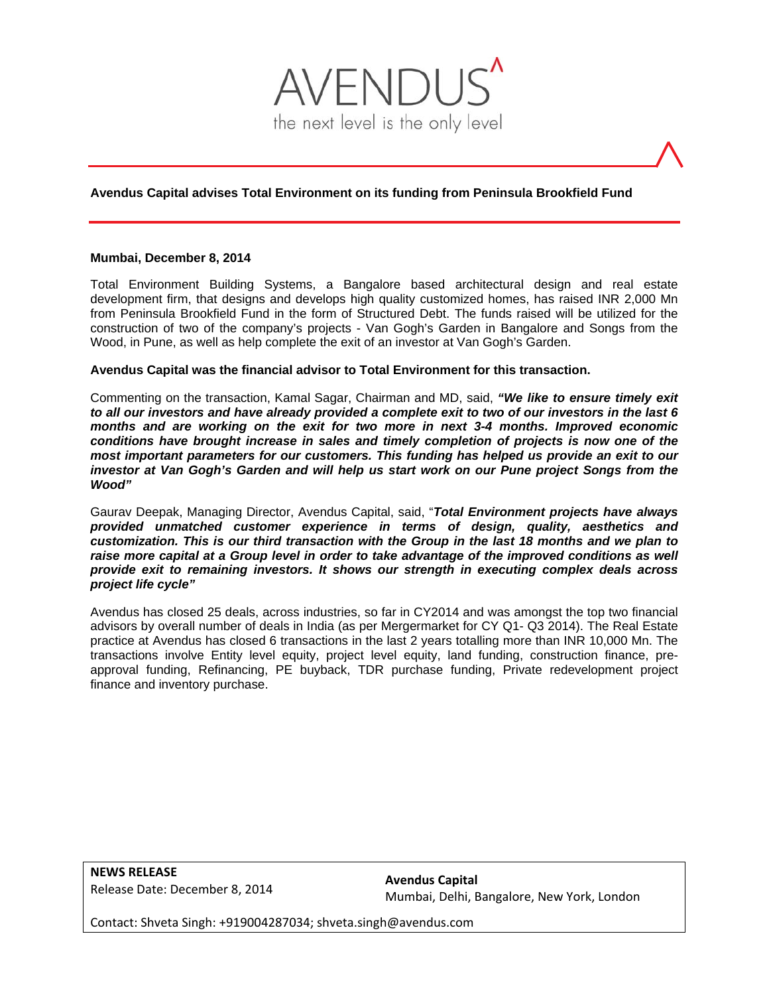

# **Avendus Capital advises Total Environment on its funding from Peninsula Brookfield Fund**

#### **Mumbai, December 8, 2014**

Total Environment Building Systems, a Bangalore based architectural design and real estate development firm, that designs and develops high quality customized homes, has raised INR 2,000 Mn from Peninsula Brookfield Fund in the form of Structured Debt. The funds raised will be utilized for the construction of two of the company's projects - Van Gogh's Garden in Bangalore and Songs from the Wood, in Pune, as well as help complete the exit of an investor at Van Gogh's Garden.

### **Avendus Capital was the financial advisor to Total Environment for this transaction.**

Commenting on the transaction, Kamal Sagar, Chairman and MD, said, *"We like to ensure timely exit to all our investors and have already provided a complete exit to two of our investors in the last 6 months and are working on the exit for two more in next 3-4 months. Improved economic conditions have brought increase in sales and timely completion of projects is now one of the most important parameters for our customers. This funding has helped us provide an exit to our investor at Van Gogh's Garden and will help us start work on our Pune project Songs from the Wood"*

Gaurav Deepak, Managing Director, Avendus Capital, said, "*Total Environment projects have always provided unmatched customer experience in terms of design, quality, aesthetics and customization. This is our third transaction with the Group in the last 18 months and we plan to*  raise more capital at a Group level in order to take advantage of the improved conditions as well *provide exit to remaining investors. It shows our strength in executing complex deals across project life cycle"* 

Avendus has closed 25 deals, across industries, so far in CY2014 and was amongst the top two financial advisors by overall number of deals in India (as per Mergermarket for CY Q1- Q3 2014). The Real Estate practice at Avendus has closed 6 transactions in the last 2 years totalling more than INR 10,000 Mn. The transactions involve Entity level equity, project level equity, land funding, construction finance, preapproval funding, Refinancing, PE buyback, TDR purchase funding, Private redevelopment project finance and inventory purchase.

**NEWS RELEASE** Release Date: December 8, 2014

**Avendus Capital** Mumbai, Delhi, Bangalore, New York, London

Contact: Shveta Singh: +919004287034; shveta.singh@avendus.com